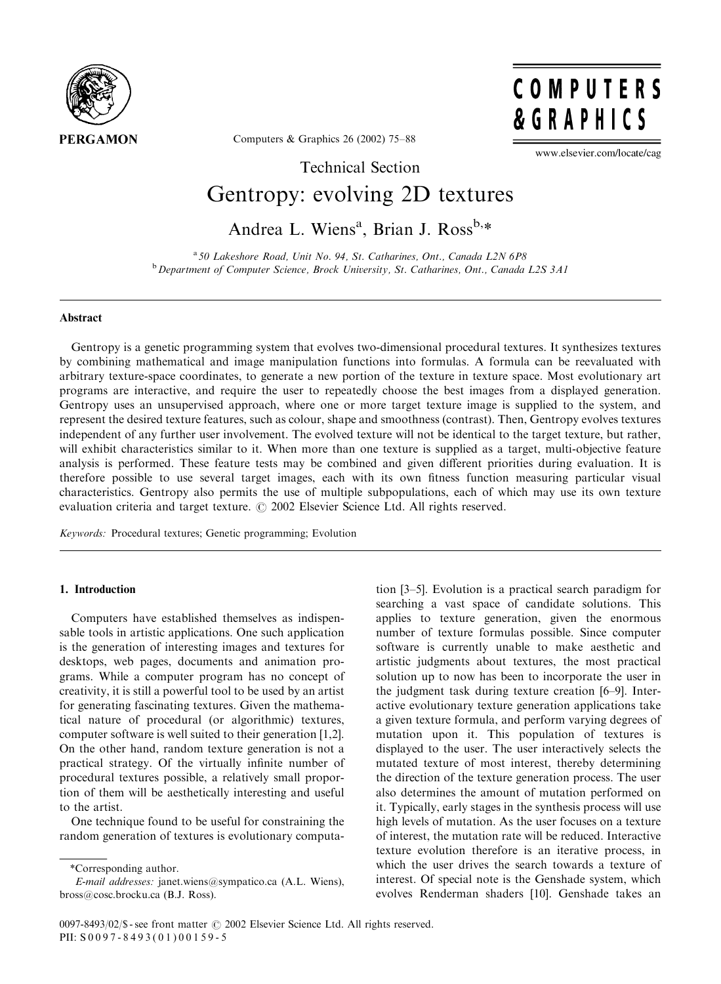

Computers & Graphics 26 (2002) 75–88

# COMPUTERS & GRAPHICS

www.elsevier.com/locate/cag

Technical Section

## Gentropy: evolving 2D textures

### Andrea L. Wiens<sup>a</sup>, Brian J. Ross<sup>b,\*</sup>

<sup>a</sup> 50 Lakeshore Road, Unit No. 94, St. Catharines, Ont., Canada L2N 6P8 <sup>b</sup> Department of Computer Science, Brock University, St. Catharines, Ont., Canada L2S 3A1

#### Abstract

Gentropy is a genetic programming system that evolves two-dimensional procedural textures. It synthesizes textures by combining mathematical and image manipulation functions into formulas. A formula can be reevaluated with arbitrary texture-space coordinates, to generate a new portion of the texture in texture space. Most evolutionary art programs are interactive, and require the user to repeatedly choose the best images from a displayed generation. Gentropy uses an unsupervised approach, where one or more target texture image is supplied to the system, and represent the desired texture features, such as colour, shape and smoothness (contrast). Then, Gentropy evolves textures independent of any further user involvement. The evolved texture will not be identical to the target texture, but rather, will exhibit characteristics similar to it. When more than one texture is supplied as a target, multi-objective feature analysis is performed. These feature tests may be combined and given different priorities during evaluation. It is therefore possible to use several target images, each with its own fitness function measuring particular visual characteristics. Gentropy also permits the use of multiple subpopulations, each of which may use its own texture evaluation criteria and target texture.  $\odot$  2002 Elsevier Science Ltd. All rights reserved.

Keywords: Procedural textures; Genetic programming; Evolution

#### 1. Introduction

Computers have established themselves as indispensable tools in artistic applications. One such application is the generation of interesting images and textures for desktops, web pages, documents and animation programs. While a computer program has no concept of creativity, it is still a powerful tool to be used by an artist for generating fascinating textures. Given the mathematical nature of procedural (or algorithmic) textures, computer software is well suited to their generation [1,2]. On the other hand, random texture generation is not a practical strategy. Of the virtually infinite number of procedural textures possible, a relatively small proportion of them will be aesthetically interestingand useful to the artist.

One technique found to be useful for constraining the random generation of textures is evolutionary computa-

tion [3–5]. Evolution is a practical search paradigm for searching a vast space of candidate solutions. This applies to texture generation, given the enormous number of texture formulas possible. Since computer software is currently unable to make aesthetic and artistic judgments about textures, the most practical solution up to now has been to incorporate the user in the judgment task during texture creation [6–9]. Interactive evolutionary texture generation applications take a given texture formula, and perform varying degrees of mutation upon it. This population of textures is displayed to the user. The user interactively selects the mutated texture of most interest, thereby determining the direction of the texture generation process. The user also determines the amount of mutation performed on it. Typically, early stages in the synthesis process will use high levels of mutation. As the user focuses on a texture of interest, the mutation rate will be reduced. Interactive texture evolution therefore is an iterative process, in which the user drives the search towards a texture of interest. Of special note is the Genshade system, which evolves Renderman shaders [10]. Genshade takes an

<sup>\*</sup>Correspondingauthor.

E-mail addresses: janet.wiens@sympatico.ca (A.L. Wiens), bross@cosc.brocku.ca (B.J. Ross).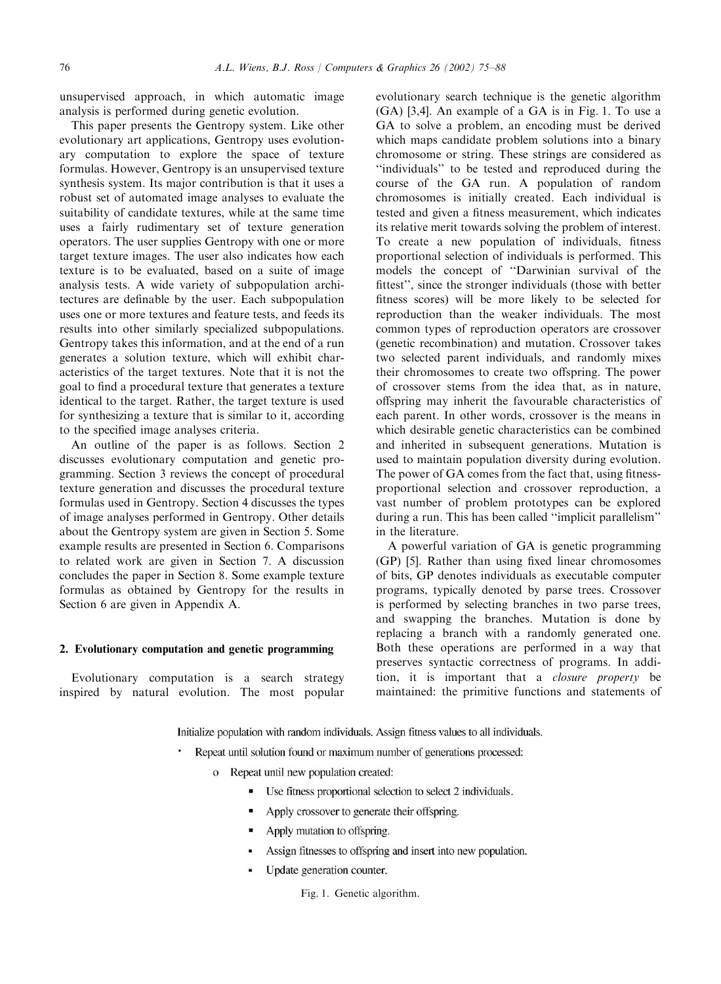unsupervised approach, in which automatic image analysis is performed during genetic evolution.

This paper presents the Gentropy system. Like other evolutionary art applications, Gentropy uses evolutionary computation to explore the space of texture formulas. However, Gentropy is an unsupervised texture synthesis system. Its major contribution is that it uses a robust set of automated image analyses to evaluate the suitability of candidate textures, while at the same time uses a fairly rudimentary set of texture generation operators. The user supplies Gentropy with one or more target texture images. The user also indicates how each texture is to be evaluated, based on a suite of image analysis tests. A wide variety of subpopulation architectures are definable by the user. Each subpopulation uses one or more textures and feature tests, and feeds its results into other similarly specialized subpopulations. Gentropy takes this information, and at the end of a run generates a solution texture, which will exhibit characteristics of the target textures. Note that it is not the goal to find a procedural texture that generates a texture identical to the target. Rather, the target texture is used for synthesizinga texture that is similar to it, according to the specified image analyses criteria.

An outline of the paper is as follows. Section 2 discusses evolutionary computation and genetic programming. Section 3 reviews the concept of procedural texture generation and discusses the procedural texture formulas used in Gentropy. Section 4 discusses the types of image analyses performed in Gentropy. Other details about the Gentropy system are given in Section 5. Some example results are presented in Section 6. Comparisons to related work are given in Section 7. A discussion concludes the paper in Section 8. Some example texture formulas as obtained by Gentropy for the results in Section 6 are given in Appendix A.

#### 2. Evolutionary computation and genetic programming

Evolutionary computation is a search strategy inspired by natural evolution. The most popular

evolutionary search technique is the genetic algorithm (GA) [3,4]. An example of a GA is in Fig. 1. To use a GA to solve a problem, an encoding must be derived which maps candidate problem solutions into a binary chromosome or string. These strings are considered as "individuals" to be tested and reproduced during the course of the GA run. A population of random chromosomes is initially created. Each individual is tested and given a fitness measurement, which indicates its relative merit towards solving the problem of interest. To create a new population of individuals, fitness proportional selection of individuals is performed. This models the concept of ''Darwinian survival of the fittest'', since the stronger individuals (those with better fitness scores) will be more likely to be selected for reproduction than the weaker individuals. The most common types of reproduction operators are crossover (genetic recombination) and mutation. Crossover takes two selected parent individuals, and randomly mixes their chromosomes to create two offspring. The power of crossover stems from the idea that, as in nature, offspring may inherit the favourable characteristics of each parent. In other words, crossover is the means in which desirable genetic characteristics can be combined and inherited in subsequent generations. Mutation is used to maintain population diversity during evolution. The power of GA comes from the fact that, using fitnessproportional selection and crossover reproduction, a vast number of problem prototypes can be explored duringa run. This has been called ''implicit parallelism'' in the literature.

A powerful variation of GA is genetic programming  $(GP)$  [5]. Rather than using fixed linear chromosomes of bits, GP denotes individuals as executable computer programs, typically denoted by parse trees. Crossover is performed by selecting branches in two parse trees, and swapping the branches. Mutation is done by replacinga branch with a randomly generated one. Both these operations are performed in a way that preserves syntactic correctness of programs. In addition, it is important that a closure property be maintained: the primitive functions and statements of

Initialize population with random individuals. Assign fitness values to all individuals.

- Repeat until solution found or maximum number of generations processed:
	- o Repeat until new population created:
		- Use fitness proportional selection to select 2 individuals.
		- Apply crossover to generate their offspring.
		- Apply mutation to offspring.
		- Assign fitnesses to offspring and insert into new population.
		- Update generation counter.

Fig. 1. Genetic algorithm.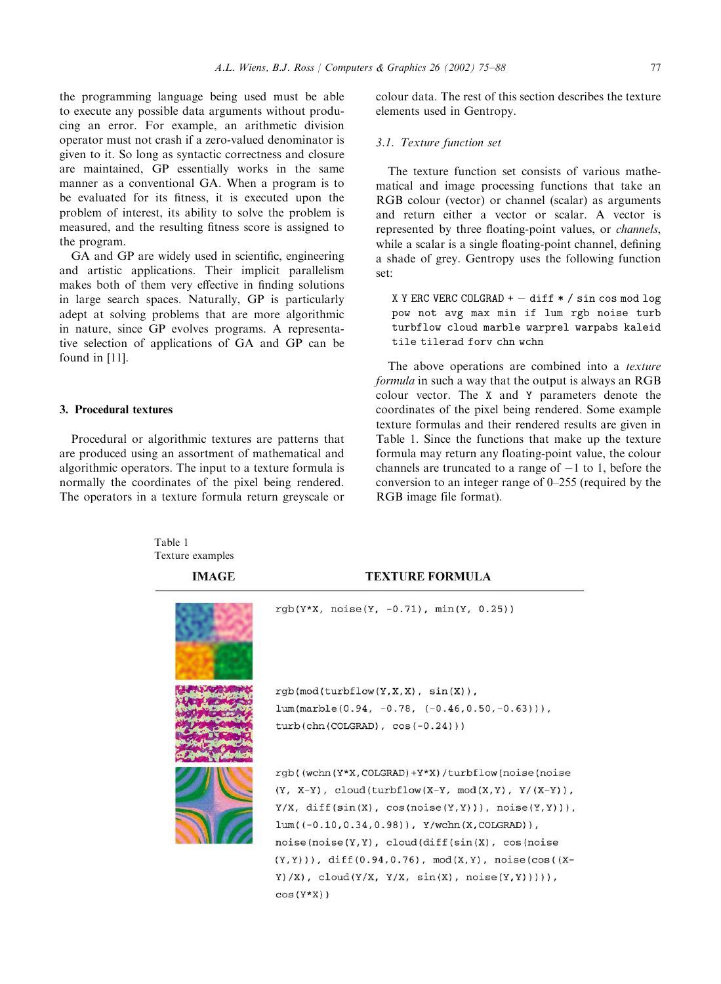the programming language being used must be able to execute any possible data arguments without producingan error. For example, an arithmetic division operator must not crash if a zero-valued denominator is given to it. So long as syntactic correctness and closure are maintained, GP essentially works in the same manner as a conventional GA. When a program is to be evaluated for its fitness, it is executed upon the problem of interest, its ability to solve the problem is measured, and the resulting fitness score is assigned to the program.

GA and GP are widely used in scientific, engineering and artistic applications. Their implicit parallelism makes both of them very effective in finding solutions in large search spaces. Naturally, GP is particularly adept at solving problems that are more algorithmic in nature, since GP evolves programs. A representative selection of applications of GA and GP can be found in [11].

#### 3. Procedural textures

Procedural or algorithmic textures are patterns that are produced usingan assortment of mathematical and algorithmic operators. The input to a texture formula is normally the coordinates of the pixel being rendered. The operators in a texture formula return greyscale or colour data. The rest of this section describes the texture elements used in Gentropy.

#### 3.1. Texture function set

The texture function set consists of various mathematical and image processing functions that take an RGB colour (vector) or channel (scalar) as arguments and return either a vector or scalar. A vector is represented by three floating-point values, or channels, while a scalar is a single floating-point channel, defining a shade of grey. Gentropy uses the following function set:

X Y ERC VERC COLGRAD  $+ -$  diff  $* /$  sin cos mod log pow not avg max min if lum rgb noise turb turbflow cloud marble warprel warpabs kaleid tile tilerad forv chn wchn

The above operations are combined into a texture formula in such a way that the output is always an RGB colour vector. The X and Y parameters denote the coordinates of the pixel being rendered. Some example texture formulas and their rendered results are given in Table 1. Since the functions that make up the texture formula may return any floating-point value, the colour channels are truncated to a range of  $-1$  to 1, before the conversion to an integer range of 0–255 (required by the RGB image file format).

Table 1 Texture examples

**IMAGE** 

#### **TEXTURE FORMULA**

 $rgb(Y*X, noise(Y, -0.71), min(Y, 0.25))$ 

 $rgb(mod(turbflow(Y,X,X), sin(X)),$  $lum(maxble(0.94, -0.78, (-0.46, 0.50, -0.63)))$ ,  $turb(charAID), cos(-0.24)))$ rgb((wchn(Y\*X,COLGRAD)+Y\*X)/turbflow(noise(noise  $(Y, X-Y)$ , cloud(turbflow(X-Y, mod(X,Y), Y/(X-Y)),  $Y/X$ , diff(sin(X), cos(noise(Y,Y))), noise(Y,Y))),  $lum((-0.10, 0.34, 0.98))$ , Y/wchn(X,COLGRAD)), noise(noise(Y,Y), cloud(diff(sin(X), cos(noise  $(Y, Y))$ , diff(0.94,0.76),  $mod(X, Y)$ , noise(cos((X-Y) /X), cloud(Y/X, Y/X, sin(X), noise(Y,Y))))),  $cos(Y*X))$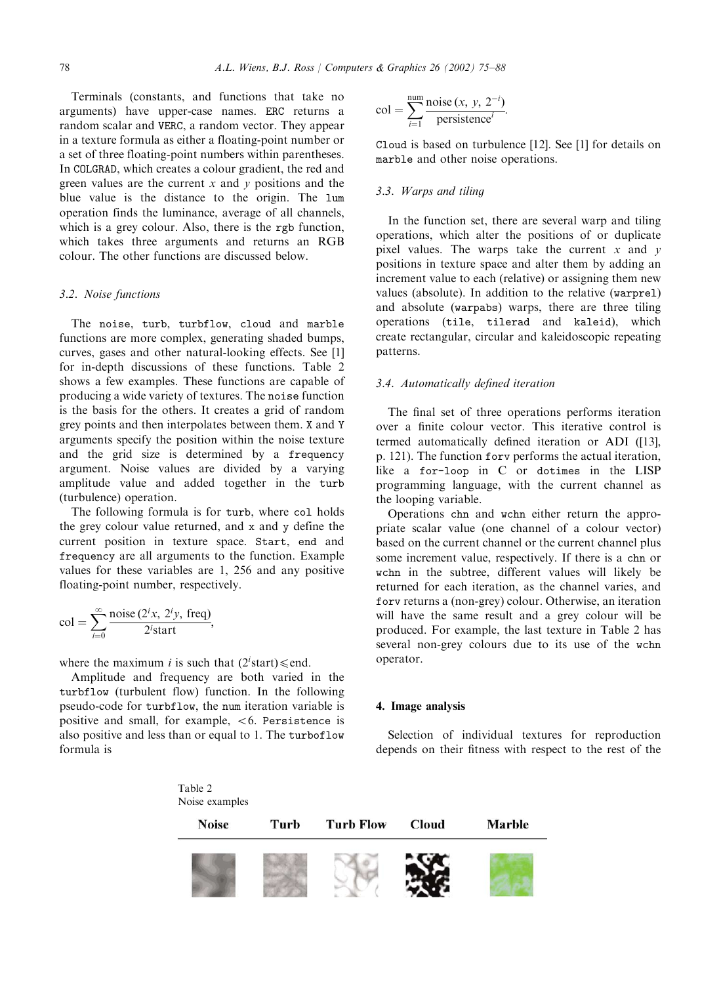Terminals (constants, and functions that take no arguments) have upper-case names. ERC returns a random scalar and VERC, a random vector. They appear in a texture formula as either a floating-point number or a set of three floating-point numbers within parentheses. In COLGRAD, which creates a colour gradient, the red and green values are the current  $x$  and  $y$  positions and the blue value is the distance to the origin. The lum operation finds the luminance, average of all channels, which is a grey colour. Also, there is the rgb function, which takes three arguments and returns an RGB colour. The other functions are discussed below.

#### 3.2. Noise functions

The noise, turb, turbflow, cloud and marble functions are more complex, generating shaded bumps, curves, gases and other natural-looking effects. See [1] for in-depth discussions of these functions. Table 2 shows a few examples. These functions are capable of producinga wide variety of textures. The noise function is the basis for the others. It creates a grid of random grey points and then interpolates between them. X and Y arguments specify the position within the noise texture and the grid size is determined by a frequency argument. Noise values are divided by a varying amplitude value and added together in the turb (turbulence) operation.

The following formula is for turb, where col holds the grey colour value returned, and x and y define the current position in texture space. Start, end and frequency are all arguments to the function. Example values for these variables are 1, 256 and any positive floating-point number, respectively.

$$
col = \sum_{i=0}^{\infty} \frac{\text{noise}(2^i x, 2^i y, \text{ freq})}{2^i \text{start}},
$$

where the maximum *i* is such that  $(2^{i}$  start)  $\leq$  end.

Amplitude and frequency are both varied in the turbflow (turbulent flow) function. In the following pseudo-code for turbflow, the num iteration variable is positive and small, for example,  $<$  6. Persistence is also positive and less than or equal to 1. The turboflow formula is

Table 2

$$
col = \sum_{i=1}^{num} \frac{noise(x, y, 2^{-i})}{persistentce^i}.
$$

Cloud is based on turbulence [12]. See [1] for details on marble and other noise operations.

#### 3.3. Warps and tiling

In the function set, there are several warp and tiling operations, which alter the positions of or duplicate pixel values. The warps take the current x and  $\nu$ positions in texture space and alter them by adding an increment value to each (relative) or assigning them new values (absolute). In addition to the relative (warprel) and absolute (warpabs) warps, there are three tiling operations (tile, tilerad and kaleid), which create rectangular, circular and kaleidoscopic repeating patterns.

#### 3.4. Automatically defined iteration

The final set of three operations performs iteration over a finite colour vector. This iterative control is termed automatically defined iteration or ADI ([13], p. 121). The function forv performs the actual iteration, like a for-loop in C or dotimes in the LISP programming language, with the current channel as the looping variable.

Operations chn and wchn either return the appropriate scalar value (one channel of a colour vector) based on the current channel or the current channel plus some increment value, respectively. If there is a chn or wchn in the subtree, different values will likely be returned for each iteration, as the channel varies, and forv returns a (non-grey) colour. Otherwise, an iteration will have the same result and a grey colour will be produced. For example, the last texture in Table 2 has several non-grey colours due to its use of the wchn operator.

#### 4. Image analysis

Selection of individual textures for reproduction depends on their fitness with respect to the rest of the

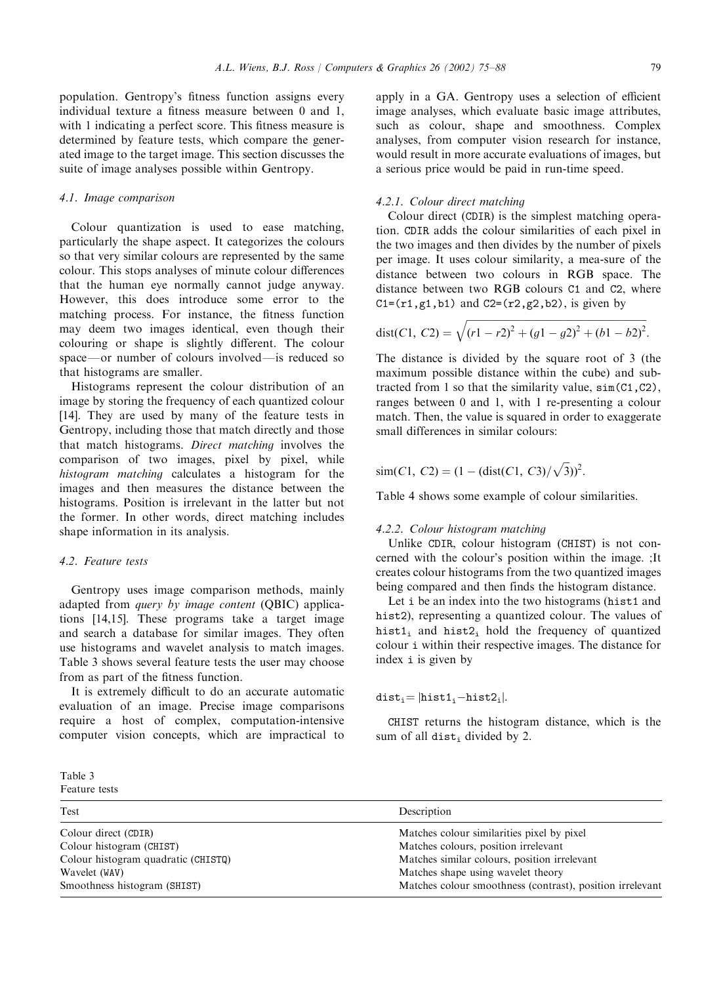population. Gentropy's fitness function assigns every individual texture a fitness measure between 0 and 1, with 1 indicating a perfect score. This fitness measure is determined by feature tests, which compare the generated image to the target image. This section discusses the suite of image analyses possible within Gentropy.

#### 4.1. Image comparison

Colour quantization is used to ease matching, particularly the shape aspect. It categorizes the colours so that very similar colours are represented by the same colour. This stops analyses of minute colour differences that the human eye normally cannot judge anyway. However, this does introduce some error to the matching process. For instance, the fitness function may deem two images identical, even though their colouring or shape is slightly different. The colour space—or number of colours involved—is reduced so that histograms are smaller.

Histograms represent the colour distribution of an image by storing the frequency of each quantized colour [14]. They are used by many of the feature tests in Gentropy, including those that match directly and those that match histograms. Direct matching involves the comparison of two images, pixel by pixel, while histogram matching calculates a histogram for the images and then measures the distance between the histograms. Position is irrelevant in the latter but not the former. In other words, direct matching includes shape information in its analysis.

#### 4.2. Feature tests

Gentropy uses image comparison methods, mainly adapted from query by image content (QBIC) applications [14,15]. These programs take a target image and search a database for similar images. They often use histograms and wavelet analysis to match images. Table 3 shows several feature tests the user may choose from as part of the fitness function.

It is extremely difficult to do an accurate automatic evaluation of an image. Precise image comparisons require a host of complex, computation-intensive computer vision concepts, which are impractical to

Table 3 Feature tests

apply in a GA. Gentropy uses a selection of efficient image analyses, which evaluate basic image attributes, such as colour, shape and smoothness. Complex analyses, from computer vision research for instance, would result in more accurate evaluations of images, but a serious price would be paid in run-time speed.

#### 4.2.1. Colour direct matching

Colour direct (CDIR) is the simplest matching operation. CDIR adds the colour similarities of each pixel in the two images and then divides by the number of pixels per image. It uses colour similarity, a mea-sure of the distance between two colours in RGB space. The distance between two RGB colours C1 and C2, where  $C1 = (r1, g1, b1)$  and  $C2 = (r2, g2, b2)$ , is given by

dist(C1, C2) = 
$$
\sqrt{(r1 - r2)^2 + (g1 - g2)^2 + (b1 - b2)^2}
$$
.

The distance is divided by the square root of 3 (the maximum possible distance within the cube) and subtracted from 1 so that the similarity value, sim(C1,C2), ranges between 0 and 1, with 1 re-presenting a colour match. Then, the value is squared in order to exaggerate small differences in similar colours:

$$
\text{sim}(C1, C2) = (1 - (\text{dist}(C1, C3)/\sqrt{3}))^2.
$$

Table 4 shows some example of colour similarities.

#### 4.2.2. Colour histogram matching

Unlike CDIR, colour histogram (CHIST) is not concerned with the colour's position within the image. ;It creates colour histograms from the two quantized images being compared and then finds the histogram distance.

Let i be an index into the two histograms (hist1 and hist2), representing a quantized colour. The values of hist1<sub>i</sub> and hist2<sub>i</sub> hold the frequency of quantized colour i within their respective images. The distance for index i is given by

#### $dist_i = |hist1_i - hist2_i|.$

CHIST returns the histogram distance, which is the sum of all dist<sub>i</sub> divided by 2.

| Test                                | Description                                               |
|-------------------------------------|-----------------------------------------------------------|
| Colour direct (CDIR)                | Matches colour similarities pixel by pixel                |
| Colour histogram (CHIST)            | Matches colours, position irrelevant                      |
| Colour histogram quadratic (CHISTO) | Matches similar colours, position irrelevant              |
| Wavelet (WAV)                       | Matches shape using wavelet theory                        |
| Smoothness histogram (SHIST)        | Matches colour smoothness (contrast), position irrelevant |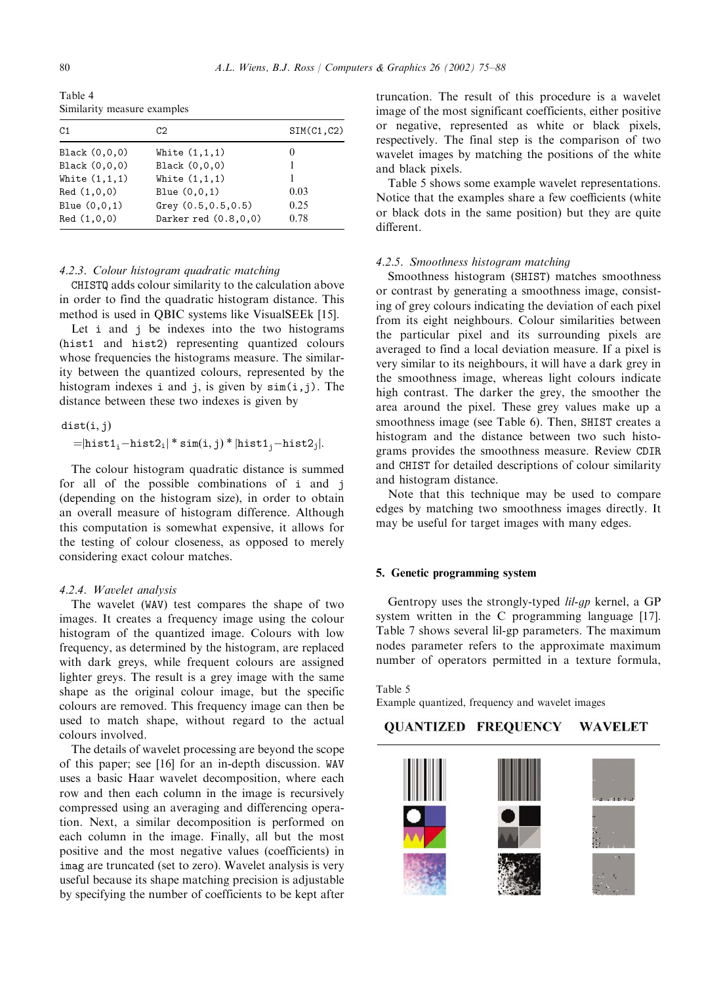Table 4 Similarity measure examples

| C <sub>1</sub>  | C <sub>2</sub>           | SIM(C1, C2) |
|-----------------|--------------------------|-------------|
| Black $(0,0,0)$ | White $(1,1,1)$          | $\theta$    |
| Black $(0,0,0)$ | Black $(0,0,0)$          |             |
| White $(1,1,1)$ | White $(1,1,1)$          |             |
| Red(1,0,0)      | Blue $(0,0,1)$           | 0.03        |
| Blue $(0,0,1)$  | Grey $(0.5, 0.5, 0.5)$   | 0.25        |
| Red(1,0,0)      | Darker red $(0.8, 0, 0)$ | 0.78        |
|                 |                          |             |

#### 4.2.3. Colour histogram quadratic matching

CHISTQ adds colour similarity to the calculation above in order to find the quadratic histogram distance. This method is used in QBIC systems like VisualSEEk [15].

Let i and j be indexes into the two histograms (hist1 and hist2) representing quantized colours whose frequencies the histograms measure. The similarity between the quantized colours, represented by the histogram indexes i and j, is given by  $sim(i,j)$ . The distance between these two indexes is given by

$$
dist(i, j)
$$

 $=$ |hist1<sub>i</sub>-hist2<sub>i</sub>| \* sim(i, j) \* |hist1<sub>i</sub>-hist2<sub>j</sub>|.

The colour histogram quadratic distance is summed for all of the possible combinations of i and j (depending on the histogram size), in order to obtain an overall measure of histogram difference. Although this computation is somewhat expensive, it allows for the testing of colour closeness, as opposed to merely considering exact colour matches.

#### 4.2.4. Wavelet analysis

The wavelet (WAV) test compares the shape of two images. It creates a frequency image using the colour histogram of the quantized image. Colours with low frequency, as determined by the histogram, are replaced with dark greys, while frequent colours are assigned lighter greys. The result is a grey image with the same shape as the original colour image, but the specific colours are removed. This frequency image can then be used to match shape, without regard to the actual colours involved.

The details of wavelet processingare beyond the scope of this paper; see [16] for an in-depth discussion. WAV uses a basic Haar wavelet decomposition, where each row and then each column in the image is recursively compressed using an averaging and differencing operation. Next, a similar decomposition is performed on each column in the image. Finally, all but the most positive and the most negative values (coefficients) in imag are truncated (set to zero). Wavelet analysis is very useful because its shape matching precision is adjustable by specifying the number of coefficients to be kept after

truncation. The result of this procedure is a wavelet image of the most significant coefficients, either positive or negative, represented as white or black pixels, respectively. The final step is the comparison of two wavelet images by matching the positions of the white and black pixels.

Table 5 shows some example wavelet representations. Notice that the examples share a few coefficients (white or black dots in the same position) but they are quite different.

#### 4.2.5. Smoothness histogram matching

Smoothness histogram (SHIST) matches smoothness or contrast by generating a smoothness image, consisting of grey colours indicating the deviation of each pixel from its eight neighbours. Colour similarities between the particular pixel and its surrounding pixels are averaged to find a local deviation measure. If a pixel is very similar to its neighbours, it will have a dark grey in the smoothness image, whereas light colours indicate high contrast. The darker the grey, the smoother the area around the pixel. These grey values make up a smoothness image (see Table 6). Then, SHIST creates a histogram and the distance between two such histograms provides the smoothness measure. Review CDIR and CHIST for detailed descriptions of colour similarity and histogram distance.

Note that this technique may be used to compare edges by matching two smoothness images directly. It may be useful for target images with many edges.

#### 5. Genetic programming system

Gentropy uses the strongly-typed lil-gp kernel, a GP system written in the C programming language [17]. Table 7 shows several lil-gp parameters. The maximum nodes parameter refers to the approximate maximum number of operators permitted in a texture formula,

#### Table 5

Example quantized, frequency and wavelet images

# **QUANTIZED FREQUENCY WAVELET**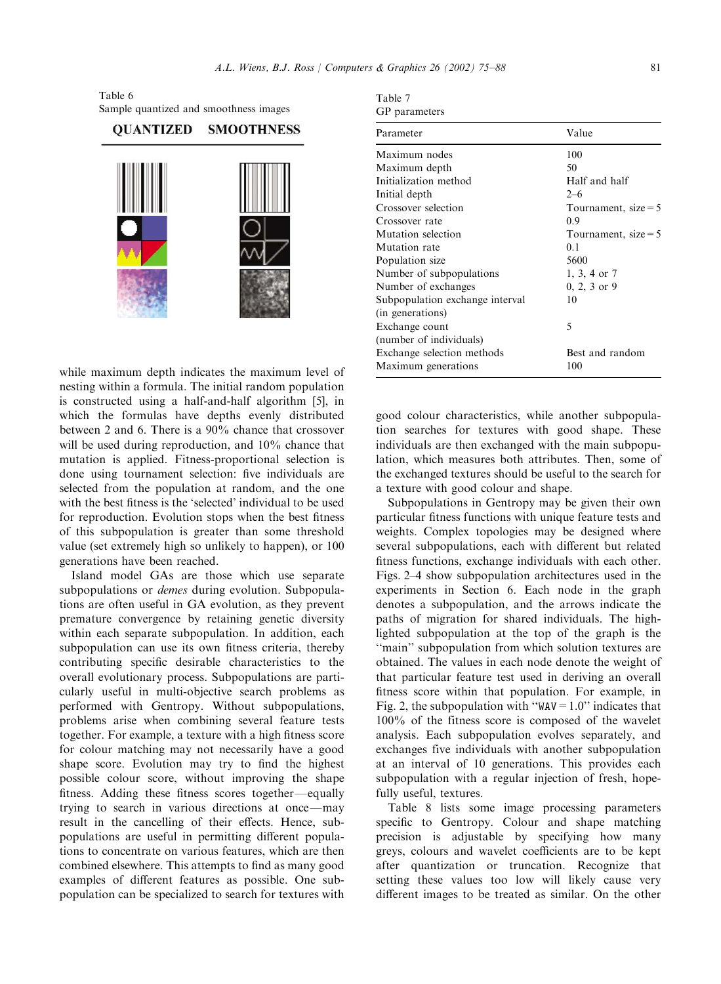Table 6 Sample quantized and smoothness images



while maximum depth indicates the maximum level of nesting within a formula. The initial random population is constructed using a half-and-half algorithm [5], in which the formulas have depths evenly distributed between 2 and 6. There is a 90% chance that crossover will be used during reproduction, and  $10\%$  chance that mutation is applied. Fitness-proportional selection is done using tournament selection: five individuals are selected from the population at random, and the one with the best fitness is the 'selected' individual to be used for reproduction. Evolution stops when the best fitness of this subpopulation is greater than some threshold value (set extremely high so unlikely to happen), or 100 generations have been reached.

Island model GAs are those which use separate subpopulations or *demes* during evolution. Subpopulations are often useful in GA evolution, as they prevent premature convergence by retaining genetic diversity within each separate subpopulation. In addition, each subpopulation can use its own fitness criteria, thereby contributing specific desirable characteristics to the overall evolutionary process. Subpopulations are particularly useful in multi-objective search problems as performed with Gentropy. Without subpopulations, problems arise when combining several feature tests together. For example, a texture with a high fitness score for colour matching may not necessarily have a good shape score. Evolution may try to find the highest possible colour score, without improving the shape fitness. Adding these fitness scores together-equally trying to search in various directions at once—may result in the cancelling of their effects. Hence, subpopulations are useful in permitting different populations to concentrate on various features, which are then combined elsewhere. This attempts to find as many good examples of different features as possible. One subpopulation can be specialized to search for textures with

| Table 7 |               |
|---------|---------------|
|         | GP parameters |

| Parameter                       | Value                  |
|---------------------------------|------------------------|
| Maximum nodes                   | 100                    |
| Maximum depth                   | 50                     |
| Initialization method           | Half and half          |
| Initial depth                   | $2 - 6$                |
| Crossover selection             | Tournament, $size = 5$ |
| Crossover rate                  | 0.9                    |
| Mutation selection              | Tournament, $size = 5$ |
| Mutation rate                   | 0.1                    |
| Population size                 | 5600                   |
| Number of subpopulations        | 1, 3, 4 or 7           |
| Number of exchanges             | $0, 2, 3$ or 9         |
| Subpopulation exchange interval | 10                     |
| (in generations)                |                        |
| Exchange count                  | 5                      |
| (number of individuals)         |                        |
| Exchange selection methods      | Best and random        |
| Maximum generations             | 100                    |

good colour characteristics, while another subpopulation searches for textures with good shape. These individuals are then exchanged with the main subpopulation, which measures both attributes. Then, some of the exchanged textures should be useful to the search for a texture with good colour and shape.

Subpopulations in Gentropy may be given their own particular fitness functions with unique feature tests and weights. Complex topologies may be designed where several subpopulations, each with different but related fitness functions, exchange individuals with each other. Figs. 2–4 show subpopulation architectures used in the experiments in Section 6. Each node in the graph denotes a subpopulation, and the arrows indicate the paths of migration for shared individuals. The highlighted subpopulation at the top of the graph is the ''main'' subpopulation from which solution textures are obtained. The values in each node denote the weight of that particular feature test used in deriving an overall fitness score within that population. For example, in Fig. 2, the subpopulation with "WAV =  $1.0$ " indicates that 100% of the fitness score is composed of the wavelet analysis. Each subpopulation evolves separately, and exchanges five individuals with another subpopulation at an interval of 10 generations. This provides each subpopulation with a regular injection of fresh, hopefully useful, textures.

Table 8 lists some image processing parameters specific to Gentropy. Colour and shape matching precision is adjustable by specifying how many greys, colours and wavelet coefficients are to be kept after quantization or truncation. Recognize that setting these values too low will likely cause very different images to be treated as similar. On the other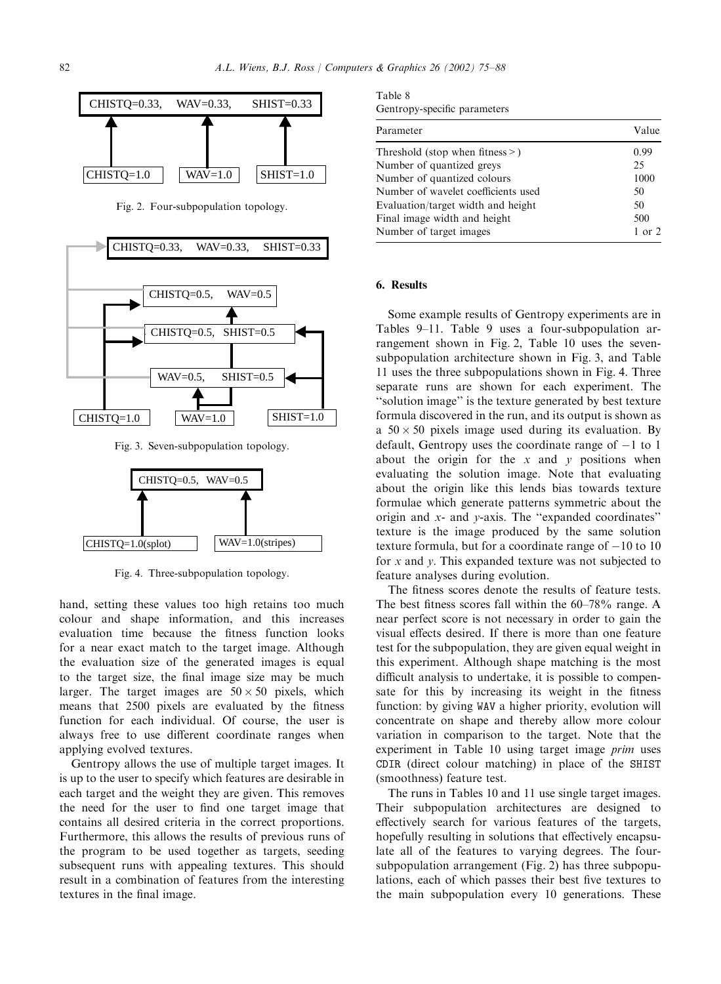

Fig. 2. Four-subpopulation topology.



Fig. 3. Seven-subpopulation topology.



Fig. 4. Three-subpopulation topology.

hand, setting these values too high retains too much colour and shape information, and this increases evaluation time because the fitness function looks for a near exact match to the target image. Although the evaluation size of the generated images is equal to the target size, the final image size may be much larger. The target images are  $50 \times 50$  pixels, which means that 2500 pixels are evaluated by the fitness function for each individual. Of course, the user is always free to use different coordinate ranges when applying evolved textures.

Gentropy allows the use of multiple target images. It is up to the user to specify which features are desirable in each target and the weight they are given. This removes the need for the user to find one target image that contains all desired criteria in the correct proportions. Furthermore, this allows the results of previous runs of the program to be used together as targets, seeding subsequent runs with appealing textures. This should result in a combination of features from the interesting textures in the final image.

Table 8 Gentropy-specific parameters

| Parameter                           | Value      |
|-------------------------------------|------------|
| Threshold (stop when fitness $>$ )  | 0.99       |
| Number of quantized greys           | 25         |
| Number of quantized colours         | 1000       |
| Number of wavelet coefficients used | 50         |
| Evaluation/target width and height  | 50         |
| Final image width and height        | 500        |
| Number of target images             | $1$ or $2$ |

#### 6. Results

Some example results of Gentropy experiments are in Tables 9–11. Table 9 uses a four-subpopulation arrangement shown in Fig. 2, Table 10 uses the sevensubpopulation architecture shown in Fig. 3, and Table 11 uses the three subpopulations shown in Fig. 4. Three separate runs are shown for each experiment. The ''solution image'' is the texture generated by best texture formula discovered in the run, and its output is shown as a  $50 \times 50$  pixels image used during its evaluation. By default, Gentropy uses the coordinate range of  $-1$  to 1 about the origin for the  $x$  and  $y$  positions when evaluating the solution image. Note that evaluating about the origin like this lends bias towards texture formulae which generate patterns symmetric about the origin and  $x$ - and  $y$ -axis. The "expanded coordinates" texture is the image produced by the same solution texture formula, but for a coordinate range of  $-10$  to 10 for x and y. This expanded texture was not subjected to feature analyses during evolution.

The fitness scores denote the results of feature tests. The best fitness scores fall within the 60–78% range. A near perfect score is not necessary in order to gain the visual effects desired. If there is more than one feature test for the subpopulation, they are given equal weight in this experiment. Although shape matching is the most difficult analysis to undertake, it is possible to compensate for this by increasing its weight in the fitness function: by giving WAV a higher priority, evolution will concentrate on shape and thereby allow more colour variation in comparison to the target. Note that the experiment in Table 10 using target image prim uses CDIR (direct colour matching) in place of the SHIST (smoothness) feature test.

The runs in Tables 10 and 11 use single target images. Their subpopulation architectures are designed to effectively search for various features of the targets, hopefully resulting in solutions that effectively encapsulate all of the features to varying degrees. The foursubpopulation arrangement (Fig. 2) has three subpopulations, each of which passes their best five textures to the main subpopulation every 10 generations. These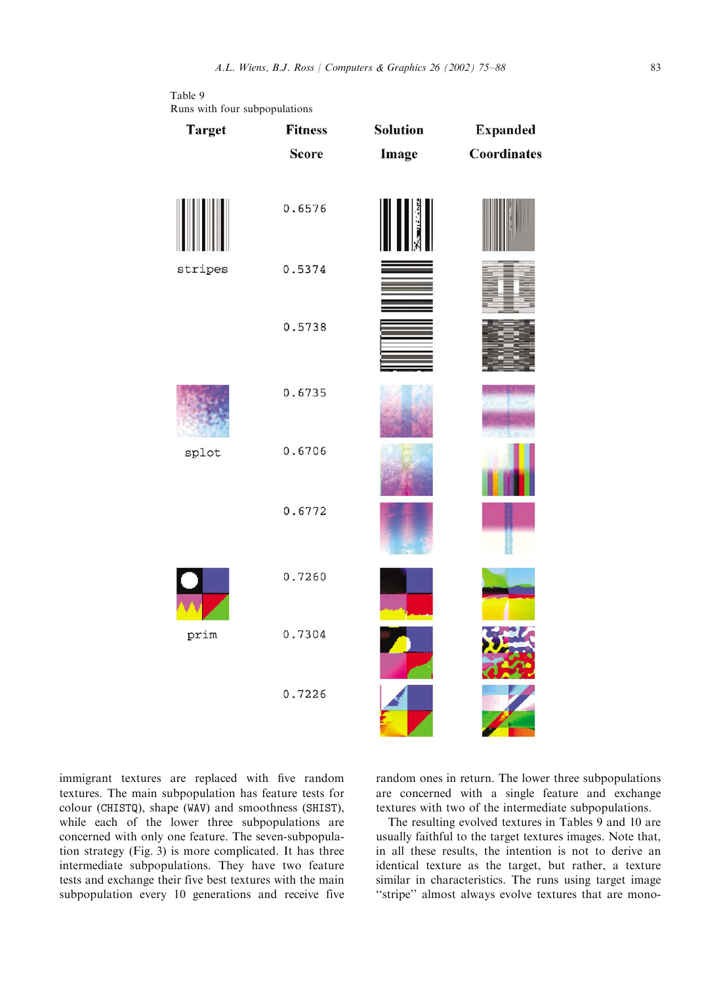#### Table 9 Runs with four subpopulations

| <b>Target</b> | <b>Fitness</b><br><b>Score</b> | <b>Solution</b><br>Image | <b>Expanded</b><br>Coordinates |
|---------------|--------------------------------|--------------------------|--------------------------------|
|               | 0.6576                         |                          |                                |
| stripes       | 0.5374                         |                          |                                |
|               | 0.5738                         |                          |                                |
|               | 0.6735                         |                          |                                |
| splot         | 0.6706                         |                          |                                |
|               | 0.6772                         |                          |                                |
|               | 0.7260                         |                          |                                |
| prim          | 0.7304                         |                          |                                |
|               | 0.7226                         |                          |                                |

immigrant textures are replaced with five random textures. The main subpopulation has feature tests for colour (CHISTQ), shape (WAV) and smoothness (SHIST), while each of the lower three subpopulations are concerned with only one feature. The seven-subpopulation strategy (Fig. 3) is more complicated. It has three intermediate subpopulations. They have two feature tests and exchange their five best textures with the main subpopulation every 10 generations and receive five

random ones in return. The lower three subpopulations are concerned with a single feature and exchange textures with two of the intermediate subpopulations.

The resulting evolved textures in Tables 9 and 10 are usually faithful to the target textures images. Note that, in all these results, the intention is not to derive an identical texture as the target, but rather, a texture similar in characteristics. The runs using target image ''stripe'' almost always evolve textures that are mono-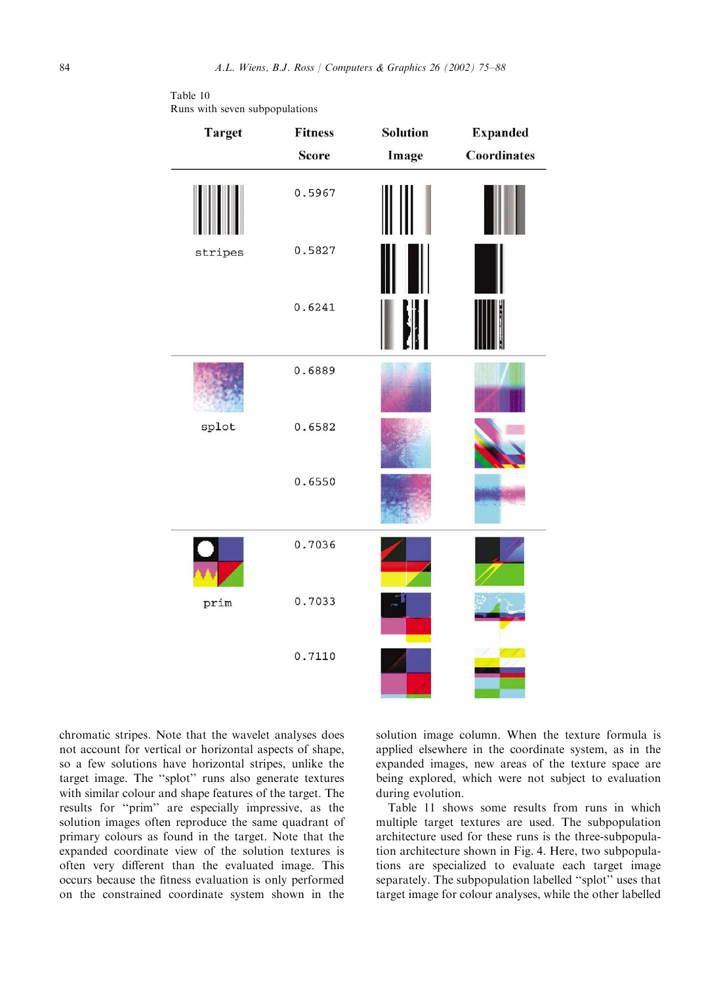Table 10 Runs with seven subpopulations

| <b>Target</b> | <b>Fitness</b> | <b>Solution</b> | <b>Expanded</b> |
|---------------|----------------|-----------------|-----------------|
|               | <b>Score</b>   | Image           | Coordinates     |
|               | 0.5967         |                 |                 |
| stripes       | 0.5827         |                 |                 |
|               | 0.6241         |                 |                 |
|               | 0.6889         |                 |                 |
| splot         | 0.6582         |                 |                 |
|               | 0.6550         |                 |                 |
|               | 0.7036         |                 |                 |
| prim          | 0.7033         |                 |                 |
|               | 0.7110         |                 |                 |

chromatic stripes. Note that the wavelet analyses does not account for vertical or horizontal aspects of shape, so a few solutions have horizontal stripes, unlike the target image. The ''splot'' runs also generate textures with similar colour and shape features of the target. The results for ''prim'' are especially impressive, as the solution images often reproduce the same quadrant of primary colours as found in the target. Note that the expanded coordinate view of the solution textures is often very different than the evaluated image. This occurs because the fitness evaluation is only performed on the constrained coordinate system shown in the

solution image column. When the texture formula is applied elsewhere in the coordinate system, as in the expanded images, new areas of the texture space are being explored, which were not subject to evaluation during evolution.

Table 11 shows some results from runs in which multiple target textures are used. The subpopulation architecture used for these runs is the three-subpopulation architecture shown in Fig. 4. Here, two subpopulations are specialized to evaluate each target image separately. The subpopulation labelled ''splot'' uses that target image for colour analyses, while the other labelled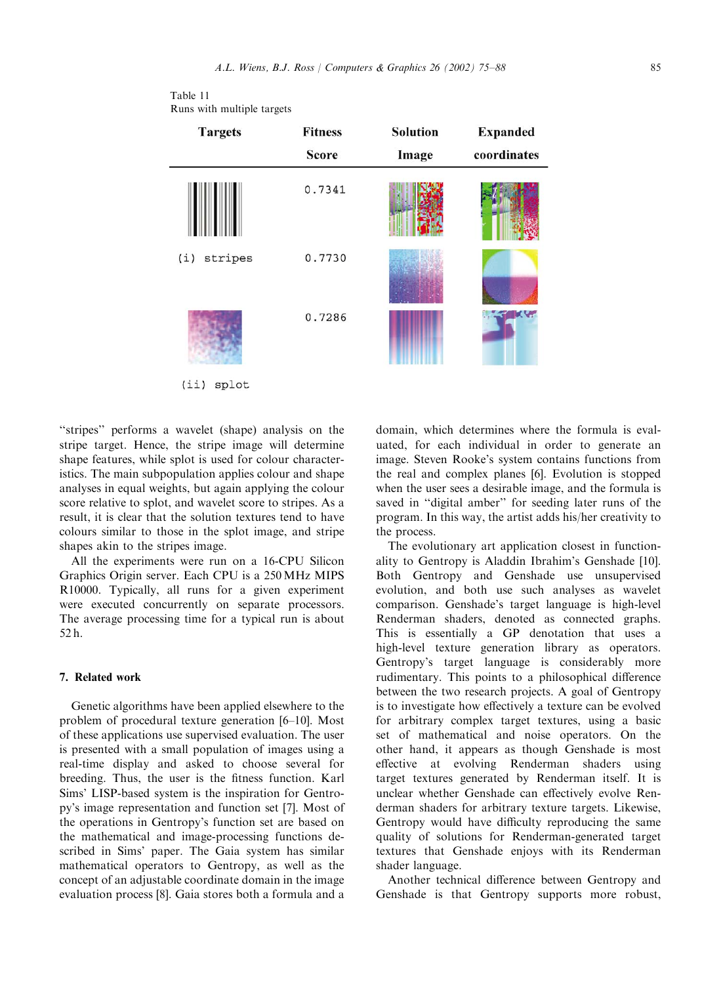Table 11 Runs with multiple targets

| <b>Targets</b>   | <b>Fitness</b> | <b>Solution</b> | <b>Expanded</b> |
|------------------|----------------|-----------------|-----------------|
|                  | <b>Score</b>   | Image           | coordinates     |
|                  | 0.7341         |                 |                 |
| stripes<br>(i)   | 0.7730         |                 |                 |
|                  | 0.7286         |                 | KV.             |
| $(i$ i)<br>splot |                |                 |                 |

''stripes'' performs a wavelet (shape) analysis on the stripe target. Hence, the stripe image will determine shape features, while splot is used for colour characteristics. The main subpopulation applies colour and shape analyses in equal weights, but again applying the colour score relative to splot, and wavelet score to stripes. As a result, it is clear that the solution textures tend to have colours similar to those in the splot image, and stripe shapes akin to the stripes image.

All the experiments were run on a 16-CPU Silicon Graphics Origin server. Each CPU is a 250MHz MIPS R10000. Typically, all runs for a given experiment were executed concurrently on separate processors. The average processing time for a typical run is about 52 h.

#### 7. Related work

Genetic algorithms have been applied elsewhere to the problem of procedural texture generation [6–10]. Most of these applications use supervised evaluation. The user is presented with a small population of images using a real-time display and asked to choose several for breeding. Thus, the user is the fitness function. Karl Sims' LISP-based system is the inspiration for Gentropy's image representation and function set [7]. Most of the operations in Gentropy's function set are based on the mathematical and image-processing functions described in Sims' paper. The Gaia system has similar mathematical operators to Gentropy, as well as the concept of an adjustable coordinate domain in the image evaluation process [8]. Gaia stores both a formula and a

domain, which determines where the formula is evaluated, for each individual in order to generate an image. Steven Rooke's system contains functions from the real and complex planes [6]. Evolution is stopped when the user sees a desirable image, and the formula is saved in ''digital amber'' for seeding later runs of the program. In this way, the artist adds his/her creativity to the process.

The evolutionary art application closest in functionality to Gentropy is Aladdin Ibrahim's Genshade [10]. Both Gentropy and Genshade use unsupervised evolution, and both use such analyses as wavelet comparison. Genshade's target language is high-level Renderman shaders, denoted as connected graphs. This is essentially a GP denotation that uses a high-level texture generation library as operators. Gentropy's target language is considerably more rudimentary. This points to a philosophical difference between the two research projects. A goal of Gentropy is to investigate how effectively a texture can be evolved for arbitrary complex target textures, using a basic set of mathematical and noise operators. On the other hand, it appears as though Genshade is most effective at evolving Renderman shaders using target textures generated by Renderman itself. It is unclear whether Genshade can effectively evolve Renderman shaders for arbitrary texture targets. Likewise, Gentropy would have difficulty reproducing the same quality of solutions for Renderman-generated target textures that Genshade enjoys with its Renderman shader language.

Another technical difference between Gentropy and Genshade is that Gentropy supports more robust,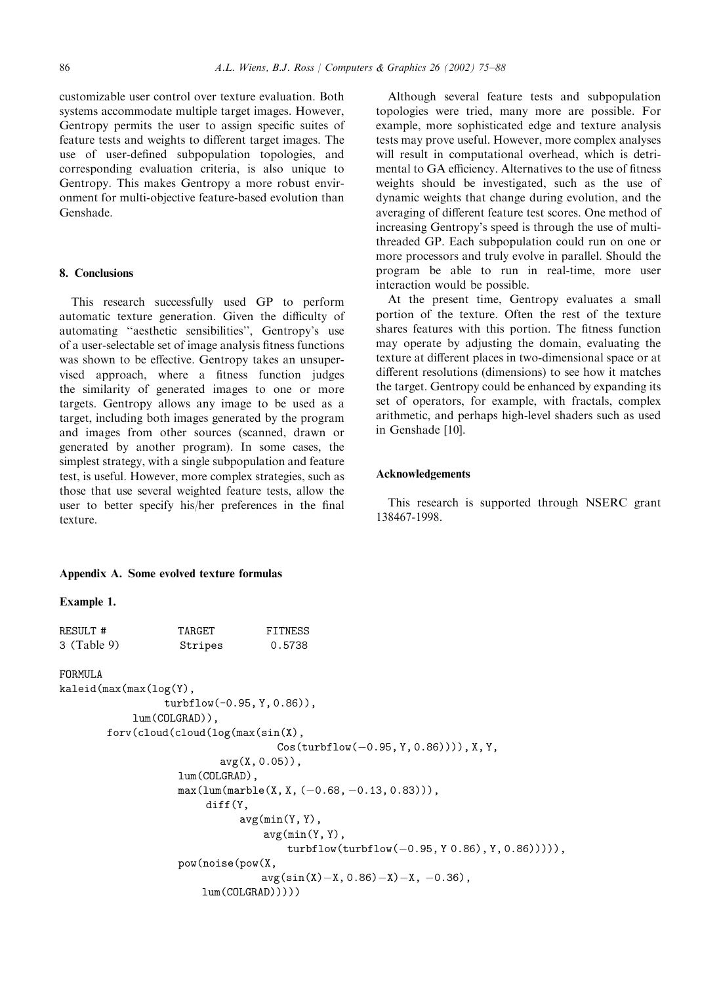customizable user control over texture evaluation. Both systems accommodate multiple target images. However, Gentropy permits the user to assign specific suites of feature tests and weights to different target images. The use of user-defined subpopulation topologies, and corresponding evaluation criteria, is also unique to Gentropy. This makes Gentropy a more robust environment for multi-objective feature-based evolution than Genshade.

#### 8. Conclusions

This research successfully used GP to perform automatic texture generation. Given the difficulty of automating''aesthetic sensibilities'', Gentropy's use of a user-selectable set of image analysis fitness functions was shown to be effective. Gentropy takes an unsupervised approach, where a fitness function judges the similarity of generated images to one or more targets. Gentropy allows any image to be used as a target, including both images generated by the program and images from other sources (scanned, drawn or generated by another program). In some cases, the simplest strategy, with a single subpopulation and feature test, is useful. However, more complex strategies, such as those that use several weighted feature tests, allow the user to better specify his/her preferences in the final texture.

#### Appendix A. Some evolved texture formulas

#### Example 1.

| RESULT #    | TARGET  | FITNESS |
|-------------|---------|---------|
| 3 (Table 9) | Stripes | 0.5738  |

FORMULA

```
kaleid(max(max(log(Y),
                 turbflow(-0.95, Y, 0.86)),
            lum(COLGRAD)),
       forv(cloud(cloud(log(max(sin(X),
                                    Cos(turbflow(-0.95, Y, 0.86)))), X, Y,
                          avg(X, 0.05),
                    lum(COLGRAD),
                    max(1um(maxble(X, X, (-0.68, -0.13, 0.83))),
                        diff(Y,
                              avg(min(Y, Y),avg(min(Y, Y),turbflow(turbflow(-0.95, Y 0.86), Y, 0.86)))),
                    pow(noise(pow(X,
                                  avg(sin(X)-X, 0.86)-X)-X, -0.36),
                        lum(COLGRAD)))))
```
Although several feature tests and subpopulation topologies were tried, many more are possible. For example, more sophisticated edge and texture analysis tests may prove useful. However, more complex analyses will result in computational overhead, which is detrimental to GA efficiency. Alternatives to the use of fitness weights should be investigated, such as the use of dynamic weights that change during evolution, and the averaging of different feature test scores. One method of increasing Gentropy's speed is through the use of multithreaded GP. Each subpopulation could run on one or more processors and truly evolve in parallel. Should the program be able to run in real-time, more user interaction would be possible.

At the present time, Gentropy evaluates a small portion of the texture. Often the rest of the texture shares features with this portion. The fitness function may operate by adjusting the domain, evaluating the texture at different places in two-dimensional space or at different resolutions (dimensions) to see how it matches the target. Gentropy could be enhanced by expanding its set of operators, for example, with fractals, complex arithmetic, and perhaps high-level shaders such as used in Genshade [10].

#### Acknowledgements

This research is supported through NSERC grant 138467-1998.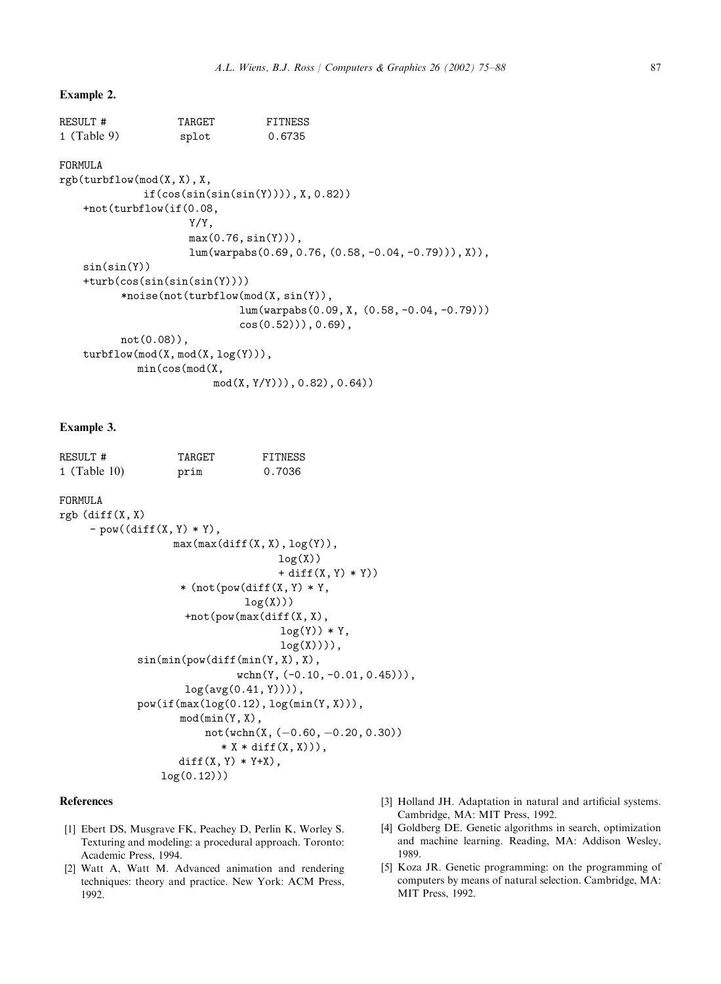#### Example 2.

```
RESULT # TARGET FITNESS
1 (Table 9) splot 0.6735
FORMULA
rgb(turbflow(mod(X, X), X,
             if(cos(sin(sin(sin(Y)))), X, 0.82))
   +not(turbflow(if(0.08,
                    Y/Y,
                    max(0.76, sin(Y))),
                    lum(warpabs(0.69, 0.76, (0.58, -0.04, -0.79))), X)),
   sin(sin(Y))+turb(cos(sin(sin(sin(Y))))
         *noise(not(turbflow(mod(X, sin(Y)),
                            lum(warpabs(0.09, X, (0.58, -0.04, -0.79)))
                            cos(0.52)), 0.69),
         not(0.08)),
   turbflow(mod(X, mod(X, log(Y))),
            min(cos(mod(X,
                        mod(X, Y/Y))), 0.82), 0.64))
```
#### Example 3.

| RESULT #<br>1 (Table $10$ )              | TARGET<br>prim                   | <b>FITNESS</b><br>0.7036             |  |
|------------------------------------------|----------------------------------|--------------------------------------|--|
| FORMULA                                  |                                  |                                      |  |
| rgb (diff(X, X))                         |                                  |                                      |  |
| $-pow((diff(X, Y) * Y)),$                |                                  |                                      |  |
|                                          | max(max(diff(X, X), log(Y)),     |                                      |  |
|                                          |                                  | $log(X)$ )                           |  |
|                                          |                                  | $+ diff(X, Y) * Y)$                  |  |
|                                          | * $(not(pow(diff(X, Y) * Y,$     |                                      |  |
|                                          |                                  | log(X))                              |  |
|                                          | +not(pow(max(diff $(X, X)$ ,     |                                      |  |
|                                          |                                  | $log(Y)) * Y$ ,                      |  |
|                                          |                                  | $log(X))$ ,                          |  |
|                                          | sin(min(pow(diff(min(Y, X), X)), |                                      |  |
|                                          |                                  | $wchn(Y, (-0.10, -0.01, 0.45)))$ ,   |  |
|                                          | $log(avg(0.41, Y)))$ ,           |                                      |  |
| $pow(if(max(log(0.12), log(min(Y, X))),$ |                                  |                                      |  |
|                                          | mod(min(Y, X),                   |                                      |  |
|                                          |                                  | $not(wchn(X, (-0.60, -0.20, 0.30)))$ |  |
|                                          |                                  | $* X * diff(X, X)))$ ,               |  |
|                                          | $diff(X, Y) * Y+X),$             |                                      |  |
|                                          | log(0.12))                       |                                      |  |

#### References

- [1] Ebert DS, Musgrave FK, Peachey D, Perlin K, Worley S. Texturingand modeling: a procedural approach. Toronto: Academic Press, 1994.
- [2] Watt A, Watt M. Advanced animation and rendering techniques: theory and practice. New York: ACM Press, 1992.
- [3] Holland JH. Adaptation in natural and artificial systems. Cambridge, MA: MIT Press, 1992.
- [4] Goldberg DE. Genetic algorithms in search, optimization and machine learning. Reading, MA: Addison Wesley, 1989.
- [5] Koza JR. Genetic programming: on the programming of computers by means of natural selection. Cambridge, MA: MIT Press, 1992.